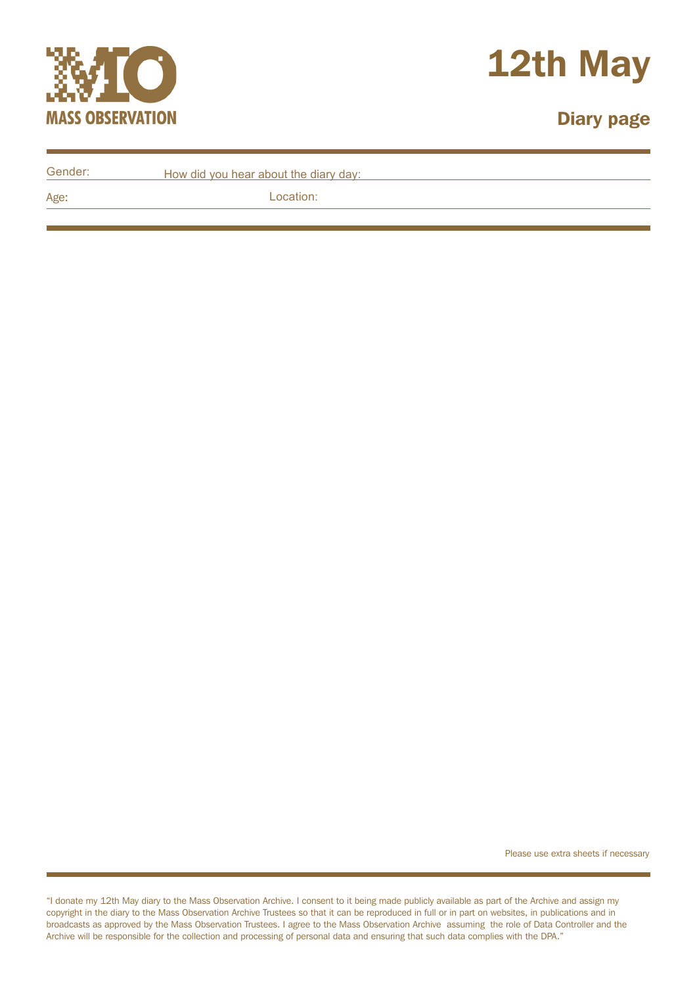



## Diary page

| Gender: | How did you hear about the diary day: |
|---------|---------------------------------------|
| Age:    | Location:                             |

Please use extra sheets if necessary

"I donate my 12th May diary to the Mass Observation Archive. I consent to it being made publicly available as part of the Archive and assign my copyright in the diary to the Mass Observation Archive Trustees so that it can be reproduced in full or in part on websites, in publications and in broadcasts as approved by the Mass Observation Trustees. I agree to the Mass Observation Archive assuming the role of Data Controller and the Archive will be responsible for the collection and processing of personal data and ensuring that such data complies with the DPA."